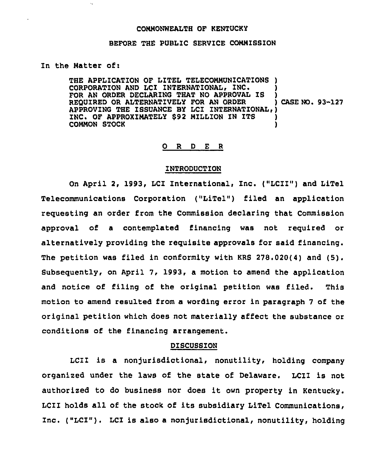#### CONNONWEALTH OF KENTUCKY

### BEFORE THE PUBLIC SERVICE CONNISSION

#### In the Natter of <sup>i</sup>

 $\mathcal{A}_{\mathbf{A}}$ 

THE APPLICATION OF LITEL TELECOMMUNICATIONS ) CORPORATION AND LCI INTERNATIONAL, INC. FOR AN ORDER DECLARING THAT NO APPROVAL IS REQUIRED OR ALTERNATIVELY FOR AN ORDER ) CASE NO. 93-127 APPROVING THE ISSUANCE BY LCI INTERNATIONAL, ) INC. OF APPROXIMATELY \$92 MILLION IN ITS )<br>COMMON STOCK (2008) COMNON STOCK )

### 0 R <sup>D</sup> E <sup>R</sup>

# INTRODUCTION

On April 2, 1993, ICZ International, Inc. ("LCII") and LiTel Telecommunications Corporation ("LiTel") filed an application requesting an order from the Commission declaring that Commission approval of a contemplated financing was not required or alternatively providing the requisite approvals for said financing. The petition was filed in conformity with KRS 278.020(4) and (5). Subsequently, on April 7, 1993, a motion to amend the application and notice of filing of the original petition was filed. This motion to amend resulted from a wording error in paragraph 7 of the original petition which does not materially affect the substance or conditions of the financing arrangement.

## DISCUSSION

LCII is a nonjurisdictional, nonutility, holding company organized under the laws of the state of Delaware. LCII is not authorized to do business nor does it own property in Kentucky. LCIZ holds all of the stock of its subsidiary LiTel Communications, inc. ("LCI"). LCI is also a nonjurisdictional, nonutility, holding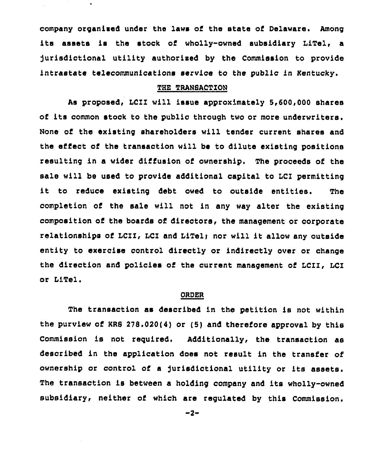company organiead under tha laws of the state of Delaware. Among its assets is the stock ot wholly-owned subsidiary LiTel, a )urisdlctional utility authorised by the Commission to provide intrastate telecommunications service to the public in Kentucky.

 $\bullet$ 

## THE TRANSACTION

As proposed, LCII will issue approximately 5,600,000 shares of its common stock to the publio through two or more underwriters. None of tha existing shareholders will tender current shares and the effect of the transaction will be to dilute existing positions resulting in a wider diffusion of ownership. The proceeds of the sale will be used to provide additional capital to LCI permitting it to reduce existing debt owed to outside entities. The completion of the sale will not in any way alter the existing composition of the boards of directors, the management or corporate relationships of LCII, LCI and LiTel; nor will it allow any outside entity to exercise control directly or indirectly over or change the direction and policies of the current management of LCII, LCI or L1Tel.

# ORDER

The transaction as described in the petition is not within the purview ot KRS 278.020(4) or (5) and therefore approval by this Commission ls not required. Additionally, the transaction as described in the application does not result in the transfer of ownership or control ot <sup>a</sup> Jurisdictional utility or its assets. The transaction is between a holding company and its wholly-owned subsidiary, neither ot which are regulated by this Commission.

 $-2-$